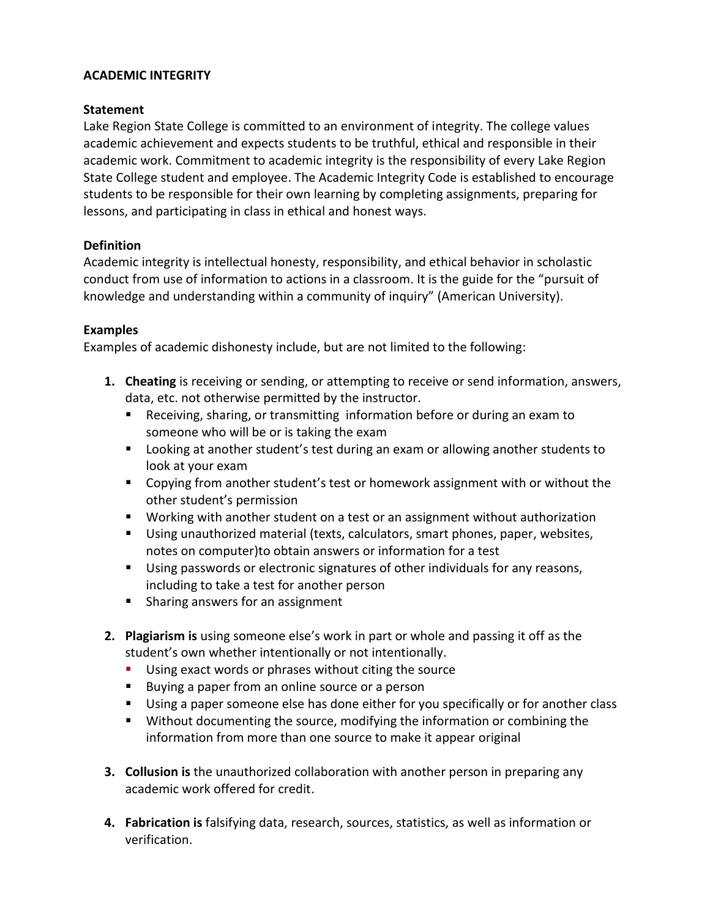## **ACADEMIC INTEGRITY**

### **Statement**

Lake Region State College is committed to an environment of integrity. The college values academic achievement and expects students to be truthful, ethical and responsible in their academic work. Commitment to academic integrity is the responsibility of every Lake Region State College student and employee. The Academic Integrity Code is established to encourage students to be responsible for their own learning by completing assignments, preparing for lessons, and participating in class in ethical and honest ways.

### **Definition**

Academic integrity is intellectual honesty, responsibility, and ethical behavior in scholastic conduct from use of information to actions in a classroom. It is the guide for the "pursuit of knowledge and understanding within a community of inquiry" (American University).

### **Examples**

Examples of academic dishonesty include, but are not limited to the following:

- **1. Cheating** is receiving or sending, or attempting to receive or send information, answers, data, etc. not otherwise permitted by the instructor.
	- Receiving, sharing, or transmitting information before or during an exam to someone who will be or is taking the exam
	- Looking at another student's test during an exam or allowing another students to look at your exam
	- Copying from another student's test or homework assignment with or without the other student's permission
	- Working with another student on a test or an assignment without authorization
	- Using unauthorized material (texts, calculators, smart phones, paper, websites, notes on computer)to obtain answers or information for a test
	- Using passwords or electronic signatures of other individuals for any reasons, including to take a test for another person
	- **Sharing answers for an assignment**
- **2. Plagiarism is** using someone else's work in part or whole and passing it off as the student's own whether intentionally or not intentionally.
	- **Using exact words or phrases without citing the source**
	- **Buying a paper from an online source or a person**
	- Using a paper someone else has done either for you specifically or for another class
	- Without documenting the source, modifying the information or combining the information from more than one source to make it appear original
- **3. Collusion is** the unauthorized collaboration with another person in preparing any academic work offered for credit.
- **4. Fabrication is** falsifying data, research, sources, statistics, as well as information or verification.